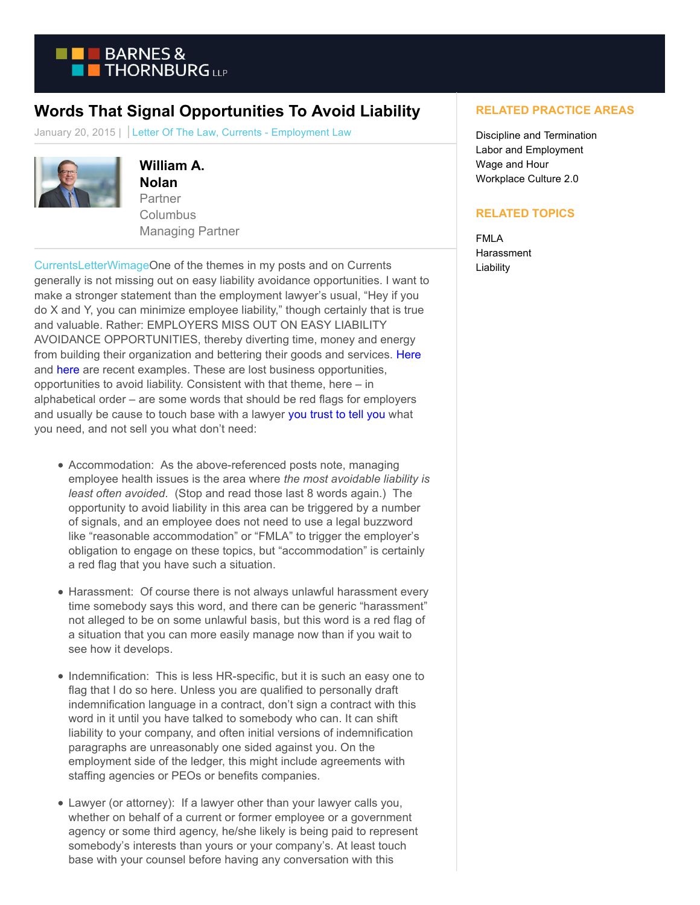

## **Words That Signal Opportunities To Avoid Liability**

January 20, 2015 | Letter Of The Law, Currents - Employment Law



**William A. Nolan** Partner Columbus Managing Partner

[CurrentsLetterWimageO](https://www.btcurrentsemployment.com/wp-content/uploads/2015/01/CurrentsLetterWimage.jpg)ne of the themes in my posts and on Currents generally is not missing out on easy liability avoidance opportunities. I want to make a stronger statement than the employment lawyer's usual, "Hey if you do X and Y, you can minimize employee liability," though certainly that is true and valuable. Rather: EMPLOYERS MISS OUT ON EASY LIABILITY AVOIDANCE OPPORTUNITIES, thereby diverting time, money and energy from building their organization and bettering their goods and services. [Here](https://www.btcurrentsemployment.com/three-most-underutilized-employment-liability-prevention-tools/) and [here a](https://www.btcurrentsemployment.com/3-key-ps-for-minimizing-liability-for-employee-health-issues/)re recent examples. These are lost business opportunities, opportunities to avoid liability. Consistent with that theme, here – in alphabetical order – are some words that should be red flags for employers and usually be cause to touch base with a lawyer [you trust to tell you](http://www.themetropreneur.com/columbus/signs-youve-got-lawyer-can-trust/) what you need, and not sell you what don't need:

- Accommodation: As the above-referenced posts note, managing employee health issues is the area where *the most avoidable liability is least often avoided*. (Stop and read those last 8 words again.) The opportunity to avoid liability in this area can be triggered by a number of signals, and an employee does not need to use a legal buzzword like "reasonable accommodation" or "FMLA" to trigger the employer's obligation to engage on these topics, but "accommodation" is certainly a red flag that you have such a situation.
- Harassment: Of course there is not always unlawful harassment every time somebody says this word, and there can be generic "harassment" not alleged to be on some unlawful basis, but this word is a red flag of a situation that you can more easily manage now than if you wait to see how it develops.
- Indemnification: This is less HR-specific, but it is such an easy one to flag that I do so here. Unless you are qualified to personally draft indemnification language in a contract, don't sign a contract with this word in it until you have talked to somebody who can. It can shift liability to your company, and often initial versions of indemnification paragraphs are unreasonably one sided against you. On the employment side of the ledger, this might include agreements with staffing agencies or PEOs or benefits companies.
- Lawyer (or attorney): If a lawyer other than your lawyer calls you, whether on behalf of a current or former employee or a government agency or some third agency, he/she likely is being paid to represent somebody's interests than yours or your company's. At least touch base with your counsel before having any conversation with this

## **RELATED PRACTICE AREAS**

Discipline and Termination Labor and Employment Wage and Hour Workplace Culture 2.0

## **RELATED TOPICS**

FMLA Harassment Liability